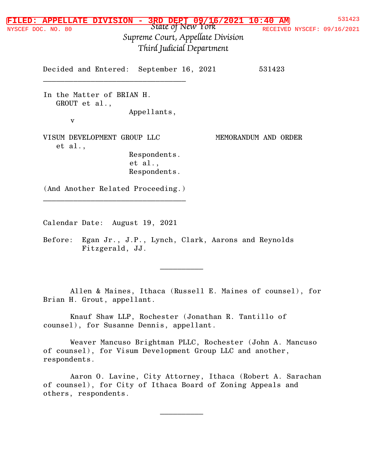| <b>HED 3</b>       | <b>APPELLATE DIVISION</b><br>3RD<br><b>DEPT</b> |                                   | 16/2021 10:40 AM            | 531423 |
|--------------------|-------------------------------------------------|-----------------------------------|-----------------------------|--------|
| NYSCEF DOC. NO. 80 |                                                 | State of New York                 | RECEIVED NYSCEF: 09/16/2021 |        |
|                    |                                                 | Supreme Court, Appellate Division |                             |        |
|                    |                                                 | Third Judicial Department         |                             |        |
|                    | Decided and Entered:<br>September 16, 2021      |                                   | 531423                      |        |
|                    | In the Matter of BRIAN H.<br>GROUT et al.,      |                                   |                             |        |
|                    | Appellants,                                     |                                   |                             |        |
|                    | v                                               |                                   |                             |        |
|                    | VISUM DEVELOPMENT GROUP LLC                     | MEMORANDUM AND ORDER              |                             |        |
|                    | et al.,                                         |                                   |                             |        |
|                    | Respondents.                                    |                                   |                             |        |
|                    | et al.,                                         |                                   |                             |        |
|                    | Respondents.                                    |                                   |                             |        |
|                    | (And Another Related Proceeding.)               |                                   |                             |        |

Calendar Date: August 19, 2021

 $\mathcal{L}_\text{max}$  and  $\mathcal{L}_\text{max}$  are the set of  $\mathcal{L}_\text{max}$  . The set of  $\mathcal{L}_\text{max}$ 

 $\mathcal{L}_\text{max}$  and  $\mathcal{L}_\text{max}$  are the set of  $\mathcal{L}_\text{max}$  . The set of  $\mathcal{L}_\text{max}$ 

Before: Egan Jr., J.P., Lynch, Clark, Aarons and Reynolds Fitzgerald, JJ.

Allen & Maines, Ithaca (Russell E. Maines of counsel), for Brian H. Grout, appellant.

Knauf Shaw LLP, Rochester (Jonathan R. Tantillo of counsel), for Susanne Dennis, appellant.

Weaver Mancuso Brightman PLLC, Rochester (John A. Mancuso of counsel), for Visum Development Group LLC and another, respondents.

Aaron O. Lavine, City Attorney, Ithaca (Robert A. Sarachan of counsel), for City of Ithaca Board of Zoning Appeals and others, respondents.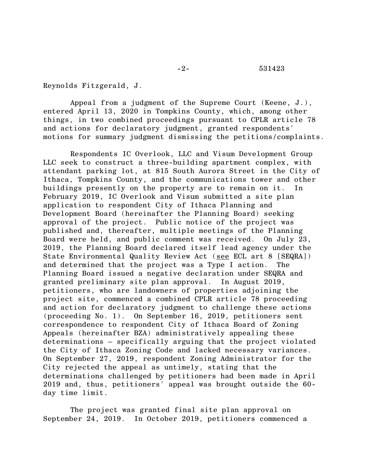Reynolds Fitzgerald, J.

Appeal from a judgment of the Supreme Court (Keene, J.), entered April 13, 2020 in Tompkins County, which, among other things, in two combined proceedings pursuant to CPLR article 78 and actions for declaratory judgment, granted respondents' motions for summary judgment dismissing the petitions/complaints.

Respondents IC Overlook, LLC and Visum Development Group LLC seek to construct a three-building apartment complex, with attendant parking lot, at 815 South Aurora Street in the City of Ithaca, Tompkins County, and the communications tower and other buildings presently on the property are to remain on it. In February 2019, IC Overlook and Visum submitted a site plan application to respondent City of Ithaca Planning and Development Board (hereinafter the Planning Board) seeking approval of the project. Public notice of the project was published and, thereafter, multiple meetings of the Planning Board were held, and public comment was received. On July 23, 2019, the Planning Board declared itself lead agency under the State Environmental Quality Review Act (see ECL art 8 [SEQRA]) and determined that the project was a Type I action. The Planning Board issued a negative declaration under SEQRA and granted preliminary site plan approval. In August 2019, petitioners, who are landowners of properties adjoining the project site, commenced a combined CPLR article 78 proceeding and action for declaratory judgment to challenge these actions (proceeding No. 1). On September 16, 2019, petitioners sent correspondence to respondent City of Ithaca Board of Zoning Appeals (hereinafter BZA) administratively appealing these determinations – specifically arguing that the project violated the City of Ithaca Zoning Code and lacked necessary variances. On September 27, 2019, respondent Zoning Administrator for the City rejected the appeal as untimely, stating that the determinations challenged by petitioners had been made in April 2019 and, thus, petitioners' appeal was brought outside the 60 day time limit.

The project was granted final site plan approval on September 24, 2019. In October 2019, petitioners commenced a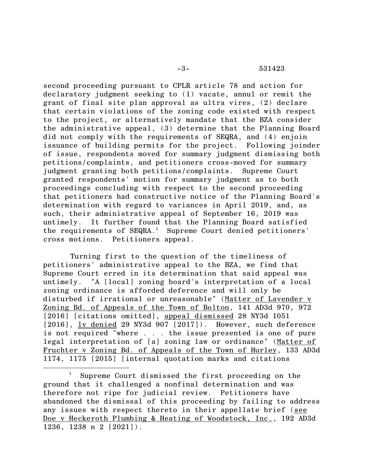second proceeding pursuant to CPLR article 78 and action for declaratory judgment seeking to (1) vacate, annul or remit the grant of final site plan approval as ultra vires, (2) declare that certain violations of the zoning code existed with respect to the project, or alternatively mandate that the BZA consider the administrative appeal, (3) determine that the Planning Board did not comply with the requirements of SEQRA, and (4) enjoin issuance of building permits for the project. Following joinder of issue, respondents moved for summary judgment dismissing both petitions/complaints, and petitioners cross-moved for summary judgment granting both petitions/complaints. Supreme Court granted respondents' motion for summary judgment as to both proceedings concluding with respect to the second proceeding that petitioners had constructive notice of the Planning Board's determination with regard to variances in April 2019, and, as such, their administrative appeal of September 16, 2019 was untimely. It further found that the Planning Board satisfied the requirements of SEQRA.<sup>1</sup> Supreme Court denied petitioners' cross motions. Petitioners appeal.

Turning first to the question of the timeliness of petitioners' administrative appeal to the BZA, we find that Supreme Court erred in its determination that said appeal was untimely. "A [local] zoning board's interpretation of a local zoning ordinance is afforded deference and will only be disturbed if irrational or unreasonable" (Matter of Lavender v Zoning Bd. of Appeals of the Town of Bolton, 141 AD3d 970, 972 [2016] [citations omitted], appeal dismissed 28 NY3d 1051 [2016], lv denied 29 NY3d 907 [2017]). However, such deference is not required "where . . . the issue presented is one of pure legal interpretation of [a] zoning law or ordinance" (Matter of Fruchter v Zoning Bd. of Appeals of the Town of Hurley, 133 AD3d 1174, 1175 [2015] [internal quotation marks and citations

Supreme Court dismissed the first proceeding on the ground that it challenged a nonfinal determination and was therefore not ripe for judicial review. Petitioners have abandoned the dismissal of this proceeding by failing to address any issues with respect thereto in their appellate brief (see Doe v Heckeroth Plumbing & Heating of Woodstock, Inc., 192 AD3d 1236, 1238 n 2 [2021]).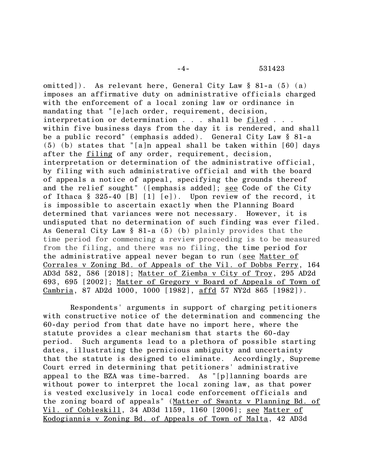omitted]). As relevant here, General City Law § 81-a (5) (a) imposes an affirmative duty on administrative officials charged with the enforcement of a local zoning law or ordinance in mandating that "[e]ach order, requirement, decision, interpretation or determination . . . shall be filed . . . within five business days from the day it is rendered, and shall be a public record" (emphasis added). General City Law § 81-a (5) (b) states that "[a]n appeal shall be taken within [60] days after the filing of any order, requirement, decision, interpretation or determination of the administrative official, by filing with such administrative official and with the board of appeals a notice of appeal, specifying the grounds thereof and the relief sought" ([emphasis added]; see Code of the City of Ithaca § 325-40 [B]  $[1]$   $[e]$ ). Upon review of the record, it is impossible to ascertain exactly when the Planning Board determined that variances were not necessary. However, it is undisputed that no determination of such finding was ever filed. As General City Law § 81-a (5) (b) plainly provides that the time period for commencing a review proceeding is to be measured from the filing, and there was no filing, the time period for the administrative appeal never began to run (see Matter of Corrales v Zoning Bd. of Appeals of the Vil. of Dobbs Ferry, 164 AD3d 582, 586 [2018]; Matter of Ziemba v City of Troy, 295 AD2d 693, 695 [2002]; Matter of Gregory v Board of Appeals of Town of Cambria, 87 AD2d 1000, 1000 [1982], affd 57 NY2d 865 [1982]).

Respondents' arguments in support of charging petitioners with constructive notice of the determination and commencing the 60-day period from that date have no import here, where the statute provides a clear mechanism that starts the 60-day period. Such arguments lead to a plethora of possible starting dates, illustrating the pernicious ambiguity and uncertainty that the statute is designed to eliminate. Accordingly, Supreme Court erred in determining that petitioners' administrative appeal to the BZA was time-barred. As "[p]lanning boards are without power to interpret the local zoning law, as that power is vested exclusively in local code enforcement officials and the zoning board of appeals" (Matter of Swantz v Planning Bd. of Vil. of Cobleskill, 34 AD3d 1159, 1160 [2006]; see Matter of Kodogiannis v Zoning Bd. of Appeals of Town of Malta, 42 AD3d